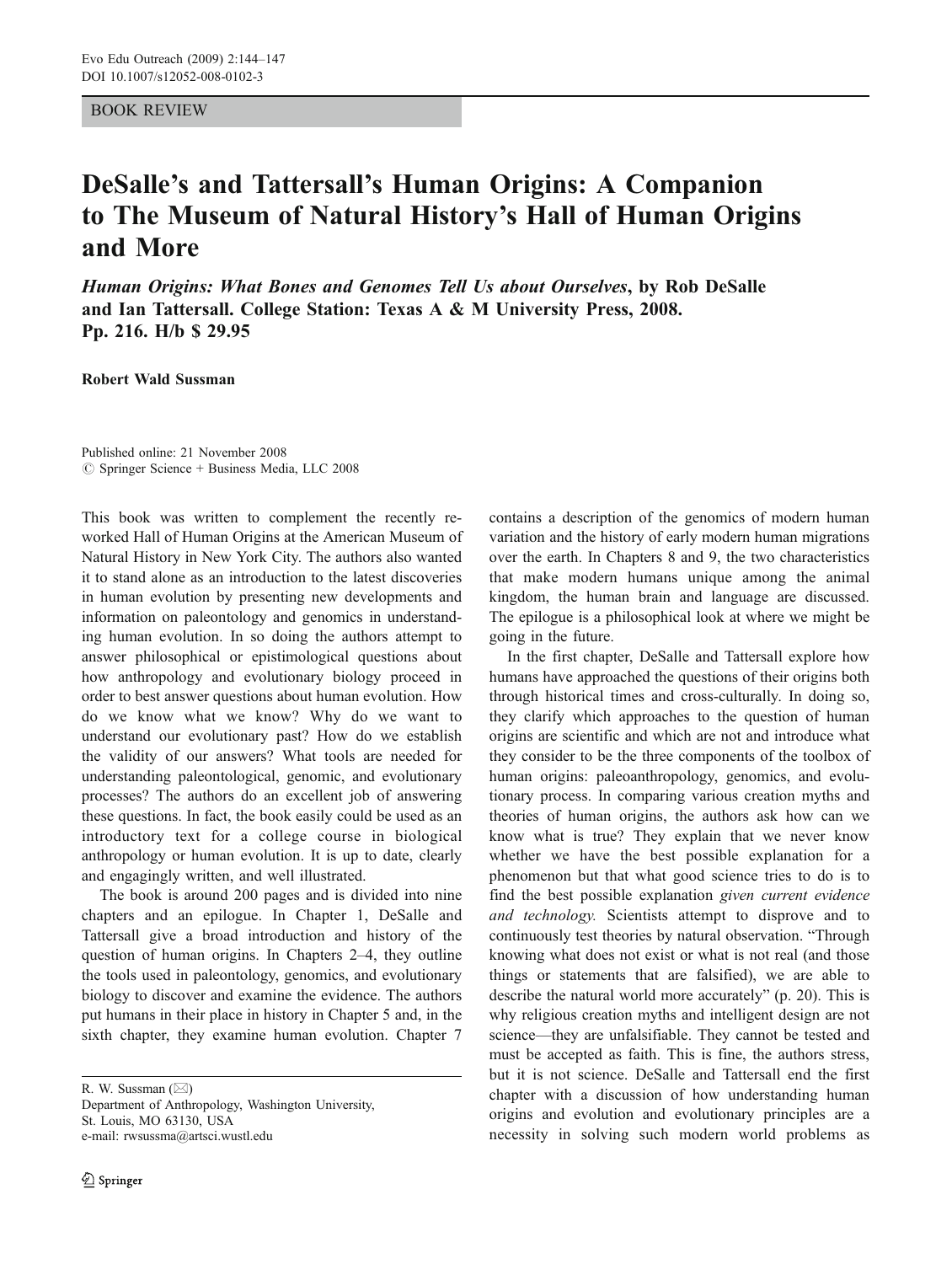## BOOK REVIEW

## DeSalle's and Tattersall's Human Origins: A Companion to The Museum of Natural History's Hall of Human Origins and More

Human Origins: What Bones and Genomes Tell Us about Ourselves, by Rob DeSalle and Ian Tattersall. College Station: Texas A & M University Press, 2008. Pp. 216. H/b \$ 29.95

## Robert Wald Sussman

Published online: 21 November 2008  $\oslash$  Springer Science + Business Media, LLC 2008

This book was written to complement the recently reworked Hall of Human Origins at the American Museum of Natural History in New York City. The authors also wanted it to stand alone as an introduction to the latest discoveries in human evolution by presenting new developments and information on paleontology and genomics in understanding human evolution. In so doing the authors attempt to answer philosophical or epistimological questions about how anthropology and evolutionary biology proceed in order to best answer questions about human evolution. How do we know what we know? Why do we want to understand our evolutionary past? How do we establish the validity of our answers? What tools are needed for understanding paleontological, genomic, and evolutionary processes? The authors do an excellent job of answering these questions. In fact, the book easily could be used as an introductory text for a college course in biological anthropology or human evolution. It is up to date, clearly and engagingly written, and well illustrated.

The book is around 200 pages and is divided into nine chapters and an epilogue. In Chapter 1, DeSalle and Tattersall give a broad introduction and history of the question of human origins. In Chapters 2–4, they outline the tools used in paleontology, genomics, and evolutionary biology to discover and examine the evidence. The authors put humans in their place in history in Chapter 5 and, in the sixth chapter, they examine human evolution. Chapter 7

R. W. Sussman (*\**)

Department of Anthropology, Washington University, St. Louis, MO 63130, USA e-mail: rwsussma@artsci.wustl.edu

contains a description of the genomics of modern human variation and the history of early modern human migrations over the earth. In Chapters 8 and 9, the two characteristics that make modern humans unique among the animal kingdom, the human brain and language are discussed. The epilogue is a philosophical look at where we might be going in the future.

In the first chapter, DeSalle and Tattersall explore how humans have approached the questions of their origins both through historical times and cross-culturally. In doing so, they clarify which approaches to the question of human origins are scientific and which are not and introduce what they consider to be the three components of the toolbox of human origins: paleoanthropology, genomics, and evolutionary process. In comparing various creation myths and theories of human origins, the authors ask how can we know what is true? They explain that we never know whether we have the best possible explanation for a phenomenon but that what good science tries to do is to find the best possible explanation given current evidence and technology. Scientists attempt to disprove and to continuously test theories by natural observation. "Through knowing what does not exist or what is not real (and those things or statements that are falsified), we are able to describe the natural world more accurately" (p. 20). This is why religious creation myths and intelligent design are not science—they are unfalsifiable. They cannot be tested and must be accepted as faith. This is fine, the authors stress, but it is not science. DeSalle and Tattersall end the first chapter with a discussion of how understanding human origins and evolution and evolutionary principles are a necessity in solving such modern world problems as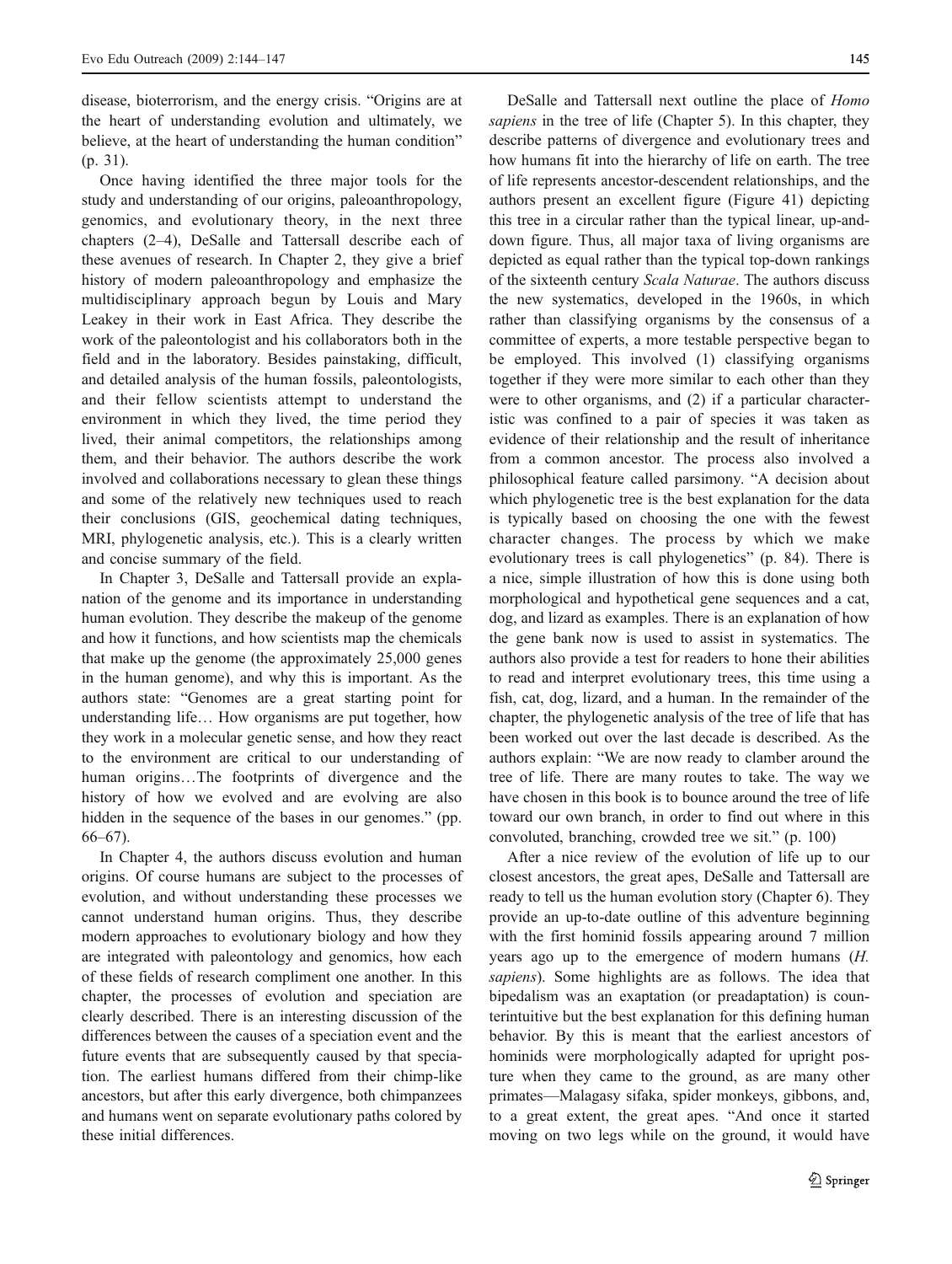disease, bioterrorism, and the energy crisis. "Origins are at the heart of understanding evolution and ultimately, we believe, at the heart of understanding the human condition"  $(n, 31)$ .

Once having identified the three major tools for the study and understanding of our origins, paleoanthropology, genomics, and evolutionary theory, in the next three chapters (2–4), DeSalle and Tattersall describe each of these avenues of research. In Chapter 2, they give a brief history of modern paleoanthropology and emphasize the multidisciplinary approach begun by Louis and Mary Leakey in their work in East Africa. They describe the work of the paleontologist and his collaborators both in the field and in the laboratory. Besides painstaking, difficult, and detailed analysis of the human fossils, paleontologists, and their fellow scientists attempt to understand the environment in which they lived, the time period they lived, their animal competitors, the relationships among them, and their behavior. The authors describe the work involved and collaborations necessary to glean these things and some of the relatively new techniques used to reach their conclusions (GIS, geochemical dating techniques, MRI, phylogenetic analysis, etc.). This is a clearly written and concise summary of the field.

In Chapter 3, DeSalle and Tattersall provide an explanation of the genome and its importance in understanding human evolution. They describe the makeup of the genome and how it functions, and how scientists map the chemicals that make up the genome (the approximately 25,000 genes in the human genome), and why this is important. As the authors state: "Genomes are a great starting point for understanding life… How organisms are put together, how they work in a molecular genetic sense, and how they react to the environment are critical to our understanding of human origins...The footprints of divergence and the history of how we evolved and are evolving are also hidden in the sequence of the bases in our genomes." (pp. 66–67).

In Chapter 4, the authors discuss evolution and human origins. Of course humans are subject to the processes of evolution, and without understanding these processes we cannot understand human origins. Thus, they describe modern approaches to evolutionary biology and how they are integrated with paleontology and genomics, how each of these fields of research compliment one another. In this chapter, the processes of evolution and speciation are clearly described. There is an interesting discussion of the differences between the causes of a speciation event and the future events that are subsequently caused by that speciation. The earliest humans differed from their chimp-like ancestors, but after this early divergence, both chimpanzees and humans went on separate evolutionary paths colored by these initial differences.

DeSalle and Tattersall next outline the place of Homo sapiens in the tree of life (Chapter 5). In this chapter, they describe patterns of divergence and evolutionary trees and how humans fit into the hierarchy of life on earth. The tree of life represents ancestor-descendent relationships, and the authors present an excellent figure (Figure 41) depicting this tree in a circular rather than the typical linear, up-anddown figure. Thus, all major taxa of living organisms are depicted as equal rather than the typical top-down rankings of the sixteenth century Scala Naturae. The authors discuss the new systematics, developed in the 1960s, in which rather than classifying organisms by the consensus of a committee of experts, a more testable perspective began to be employed. This involved (1) classifying organisms together if they were more similar to each other than they were to other organisms, and (2) if a particular characteristic was confined to a pair of species it was taken as evidence of their relationship and the result of inheritance from a common ancestor. The process also involved a philosophical feature called parsimony. "A decision about which phylogenetic tree is the best explanation for the data is typically based on choosing the one with the fewest character changes. The process by which we make evolutionary trees is call phylogenetics" (p. 84). There is a nice, simple illustration of how this is done using both morphological and hypothetical gene sequences and a cat, dog, and lizard as examples. There is an explanation of how the gene bank now is used to assist in systematics. The authors also provide a test for readers to hone their abilities to read and interpret evolutionary trees, this time using a fish, cat, dog, lizard, and a human. In the remainder of the chapter, the phylogenetic analysis of the tree of life that has been worked out over the last decade is described. As the authors explain: "We are now ready to clamber around the tree of life. There are many routes to take. The way we have chosen in this book is to bounce around the tree of life toward our own branch, in order to find out where in this convoluted, branching, crowded tree we sit." (p. 100)

After a nice review of the evolution of life up to our closest ancestors, the great apes, DeSalle and Tattersall are ready to tell us the human evolution story (Chapter 6). They provide an up-to-date outline of this adventure beginning with the first hominid fossils appearing around 7 million years ago up to the emergence of modern humans (H. sapiens). Some highlights are as follows. The idea that bipedalism was an exaptation (or preadaptation) is counterintuitive but the best explanation for this defining human behavior. By this is meant that the earliest ancestors of hominids were morphologically adapted for upright posture when they came to the ground, as are many other primates—Malagasy sifaka, spider monkeys, gibbons, and, to a great extent, the great apes. "And once it started moving on two legs while on the ground, it would have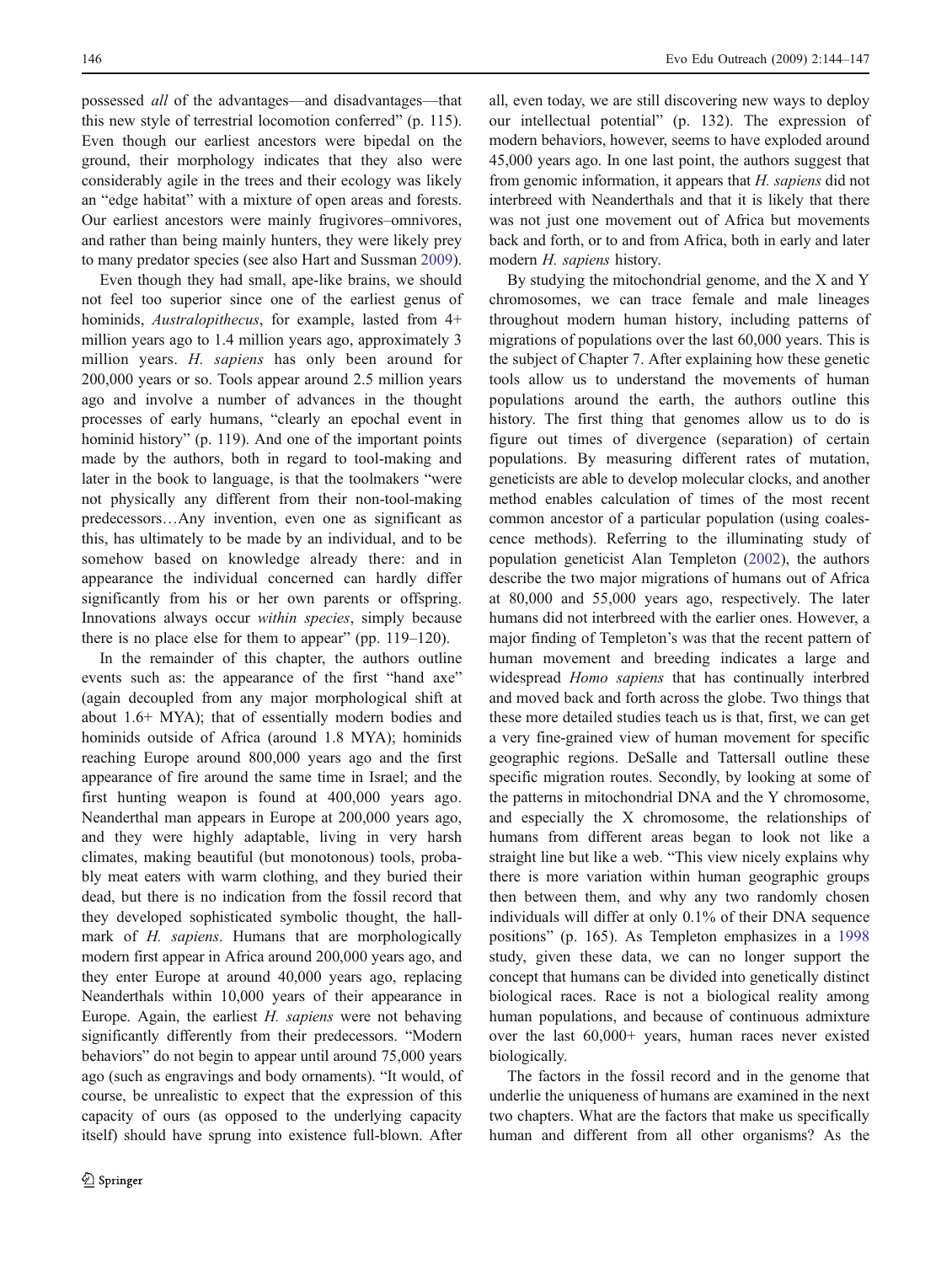possessed all of the advantages—and disadvantages—that this new style of terrestrial locomotion conferred" (p. 115). Even though our earliest ancestors were bipedal on the ground, their morphology indicates that they also were considerably agile in the trees and their ecology was likely an "edge habitat" with a mixture of open areas and forests. Our earliest ancestors were mainly frugivores–omnivores, and rather than being mainly hunters, they were likely prey to many predator species (see also Hart and Sussman [2009](#page-3-0)).

Even though they had small, ape-like brains, we should not feel too superior since one of the earliest genus of hominids, *Australopithecus*, for example, lasted from 4+ million years ago to 1.4 million years ago, approximately 3 million years. H. sapiens has only been around for 200,000 years or so. Tools appear around 2.5 million years ago and involve a number of advances in the thought processes of early humans, "clearly an epochal event in hominid history" (p. 119). And one of the important points made by the authors, both in regard to tool-making and later in the book to language, is that the toolmakers "were not physically any different from their non-tool-making predecessors…Any invention, even one as significant as this, has ultimately to be made by an individual, and to be somehow based on knowledge already there: and in appearance the individual concerned can hardly differ significantly from his or her own parents or offspring. Innovations always occur within species, simply because there is no place else for them to appear" (pp. 119–120).

In the remainder of this chapter, the authors outline events such as: the appearance of the first "hand axe" (again decoupled from any major morphological shift at about 1.6+ MYA); that of essentially modern bodies and hominids outside of Africa (around 1.8 MYA); hominids reaching Europe around 800,000 years ago and the first appearance of fire around the same time in Israel; and the first hunting weapon is found at 400,000 years ago. Neanderthal man appears in Europe at 200,000 years ago, and they were highly adaptable, living in very harsh climates, making beautiful (but monotonous) tools, probably meat eaters with warm clothing, and they buried their dead, but there is no indication from the fossil record that they developed sophisticated symbolic thought, the hallmark of H. sapiens. Humans that are morphologically modern first appear in Africa around 200,000 years ago, and they enter Europe at around 40,000 years ago, replacing Neanderthals within 10,000 years of their appearance in Europe. Again, the earliest H. sapiens were not behaving significantly differently from their predecessors. "Modern behaviors" do not begin to appear until around 75,000 years ago (such as engravings and body ornaments). "It would, of course, be unrealistic to expect that the expression of this capacity of ours (as opposed to the underlying capacity itself) should have sprung into existence full-blown. After

all, even today, we are still discovering new ways to deploy our intellectual potential" (p. 132). The expression of modern behaviors, however, seems to have exploded around 45,000 years ago. In one last point, the authors suggest that from genomic information, it appears that H. sapiens did not interbreed with Neanderthals and that it is likely that there was not just one movement out of Africa but movements back and forth, or to and from Africa, both in early and later modern H. sapiens history.

By studying the mitochondrial genome, and the X and Y chromosomes, we can trace female and male lineages throughout modern human history, including patterns of migrations of populations over the last 60,000 years. This is the subject of Chapter 7. After explaining how these genetic tools allow us to understand the movements of human populations around the earth, the authors outline this history. The first thing that genomes allow us to do is figure out times of divergence (separation) of certain populations. By measuring different rates of mutation, geneticists are able to develop molecular clocks, and another method enables calculation of times of the most recent common ancestor of a particular population (using coalescence methods). Referring to the illuminating study of population geneticist Alan Templeton ([2002\)](#page-3-0), the authors describe the two major migrations of humans out of Africa at 80,000 and 55,000 years ago, respectively. The later humans did not interbreed with the earlier ones. However, a major finding of Templeton's was that the recent pattern of human movement and breeding indicates a large and widespread Homo sapiens that has continually interbred and moved back and forth across the globe. Two things that these more detailed studies teach us is that, first, we can get a very fine-grained view of human movement for specific geographic regions. DeSalle and Tattersall outline these specific migration routes. Secondly, by looking at some of the patterns in mitochondrial DNA and the Y chromosome, and especially the X chromosome, the relationships of humans from different areas began to look not like a straight line but like a web. "This view nicely explains why there is more variation within human geographic groups then between them, and why any two randomly chosen individuals will differ at only 0.1% of their DNA sequence positions" (p. 165). As Templeton emphasizes in a [1998](#page-3-0) study, given these data, we can no longer support the concept that humans can be divided into genetically distinct biological races. Race is not a biological reality among human populations, and because of continuous admixture over the last 60,000+ years, human races never existed biologically.

The factors in the fossil record and in the genome that underlie the uniqueness of humans are examined in the next two chapters. What are the factors that make us specifically human and different from all other organisms? As the